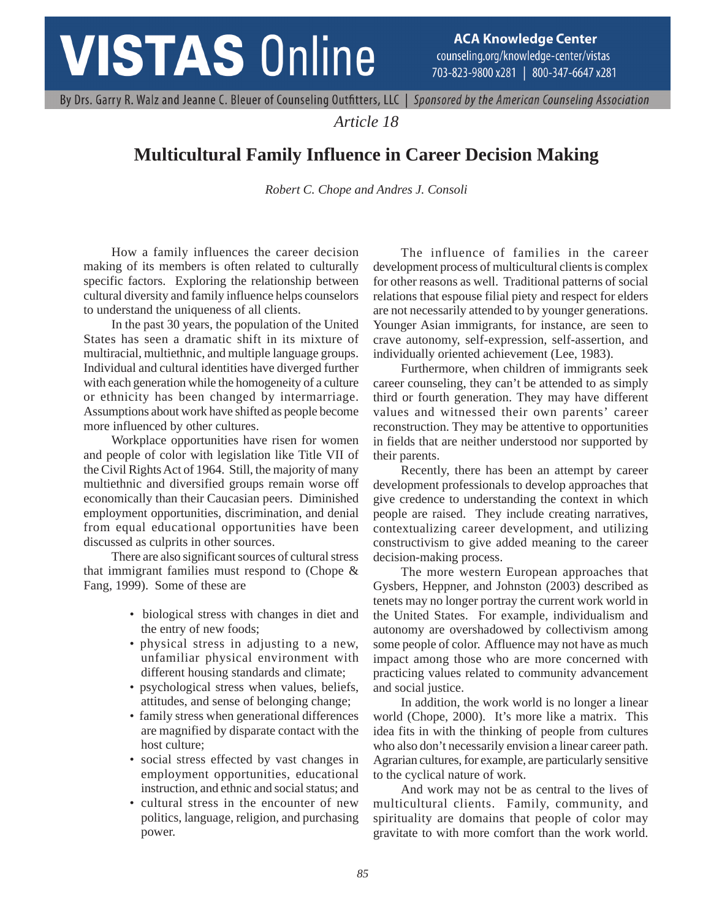# **VISTAS Online**

**ACA Knowledge Center** counseling.org/knowledge-center/vistas 703-823-9800 x281 | 800-347-6647 x281

By Drs. Garry R. Walz and Jeanne C. Bleuer of Counseling Outfitters, LLC | Sponsored by the American Counseling Association

*Article 18*

## **Multicultural Family Influence in Career Decision Making**

*Robert C. Chope and Andres J. Consoli*

How a family influences the career decision making of its members is often related to culturally specific factors. Exploring the relationship between cultural diversity and family influence helps counselors to understand the uniqueness of all clients.

In the past 30 years, the population of the United States has seen a dramatic shift in its mixture of multiracial, multiethnic, and multiple language groups. Individual and cultural identities have diverged further with each generation while the homogeneity of a culture or ethnicity has been changed by intermarriage. Assumptions about work have shifted as people become more influenced by other cultures.

Workplace opportunities have risen for women and people of color with legislation like Title VII of the Civil Rights Act of 1964. Still, the majority of many multiethnic and diversified groups remain worse off economically than their Caucasian peers. Diminished employment opportunities, discrimination, and denial from equal educational opportunities have been discussed as culprits in other sources.

There are also significant sources of cultural stress that immigrant families must respond to (Chope & Fang, 1999). Some of these are

- biological stress with changes in diet and the entry of new foods;
- physical stress in adjusting to a new, unfamiliar physical environment with different housing standards and climate;
- psychological stress when values, beliefs, attitudes, and sense of belonging change;
- family stress when generational differences are magnified by disparate contact with the host culture;
- social stress effected by vast changes in employment opportunities, educational instruction, and ethnic and social status; and
- cultural stress in the encounter of new politics, language, religion, and purchasing power.

The influence of families in the career development process of multicultural clients is complex for other reasons as well. Traditional patterns of social relations that espouse filial piety and respect for elders are not necessarily attended to by younger generations. Younger Asian immigrants, for instance, are seen to crave autonomy, self-expression, self-assertion, and individually oriented achievement (Lee, 1983).

Furthermore, when children of immigrants seek career counseling, they can't be attended to as simply third or fourth generation. They may have different values and witnessed their own parents' career reconstruction. They may be attentive to opportunities in fields that are neither understood nor supported by their parents.

Recently, there has been an attempt by career development professionals to develop approaches that give credence to understanding the context in which people are raised. They include creating narratives, contextualizing career development, and utilizing constructivism to give added meaning to the career decision-making process.

The more western European approaches that Gysbers, Heppner, and Johnston (2003) described as tenets may no longer portray the current work world in the United States. For example, individualism and autonomy are overshadowed by collectivism among some people of color. Affluence may not have as much impact among those who are more concerned with practicing values related to community advancement and social justice.

In addition, the work world is no longer a linear world (Chope, 2000). It's more like a matrix. This idea fits in with the thinking of people from cultures who also don't necessarily envision a linear career path. Agrarian cultures, for example, are particularly sensitive to the cyclical nature of work.

And work may not be as central to the lives of multicultural clients. Family, community, and spirituality are domains that people of color may gravitate to with more comfort than the work world.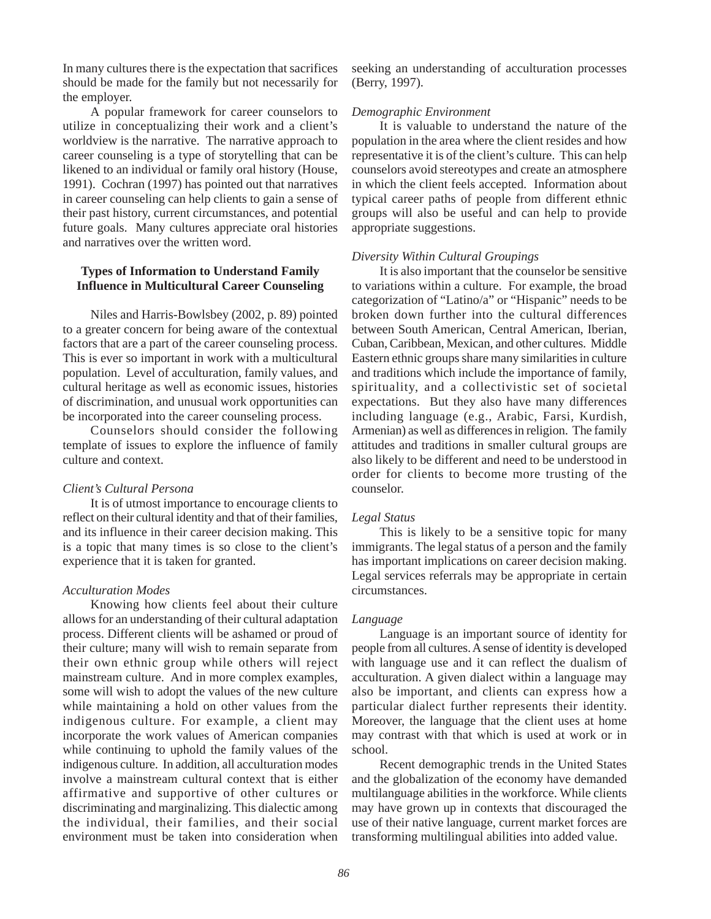In many cultures there is the expectation that sacrifices should be made for the family but not necessarily for the employer.

A popular framework for career counselors to utilize in conceptualizing their work and a client's worldview is the narrative. The narrative approach to career counseling is a type of storytelling that can be likened to an individual or family oral history (House, 1991). Cochran (1997) has pointed out that narratives in career counseling can help clients to gain a sense of their past history, current circumstances, and potential future goals. Many cultures appreciate oral histories and narratives over the written word.

### **Types of Information to Understand Family Influence in Multicultural Career Counseling**

Niles and Harris-Bowlsbey (2002, p. 89) pointed to a greater concern for being aware of the contextual factors that are a part of the career counseling process. This is ever so important in work with a multicultural population. Level of acculturation, family values, and cultural heritage as well as economic issues, histories of discrimination, and unusual work opportunities can be incorporated into the career counseling process.

Counselors should consider the following template of issues to explore the influence of family culture and context.

#### Client's Cultural Persona

It is of utmost importance to encourage clients to reflect on their cultural identity and that of their families, and its influence in their career decision making. This is a topic that many times is so close to the client's experience that it is taken for granted.

#### **Acculturation Modes**

Knowing how clients feel about their culture allows for an understanding of their cultural adaptation process. Different clients will be ashamed or proud of their culture; many will wish to remain separate from their own ethnic group while others will reject mainstream culture. And in more complex examples, some will wish to adopt the values of the new culture while maintaining a hold on other values from the indigenous culture. For example, a client may incorporate the work values of American companies while continuing to uphold the family values of the indigenous culture. In addition, all acculturation modes involve a mainstream cultural context that is either affirmative and supportive of other cultures or discriminating and marginalizing. This dialectic among the individual, their families, and their social environment must be taken into consideration when

seeking an understanding of acculturation processes (Berry, 1997).

#### Demographic Environment

It is valuable to understand the nature of the population in the area where the client resides and how representative it is of the client's culture. This can help counselors avoid stereotypes and create an atmosphere in which the client feels accepted. Information about typical career paths of people from different ethnic groups will also be useful and can help to provide appropriate suggestions.

#### Diversity Within Cultural Groupings

It is also important that the counsel or be sensitive to variations within a culture. For example, the broad categorization of "Latino/a" or "Hispanic" needs to be broken down further into the cultural differences between South American, Central American, Iberian. Cuban, Caribbean, Mexican, and other cultures. Middle Eastern ethnic groups share many similarities in culture and traditions which include the importance of family, spirituality, and a collectivistic set of societal expectations. But they also have many differences including language (e.g., Arabic, Farsi, Kurdish, Armenian) as well as differences in religion. The family attitudes and traditions in smaller cultural groups are also likely to be different and need to be understood in order for clients to become more trusting of the counselor

#### Legal Status

This is likely to be a sensitive topic for many immigrants. The legal status of a person and the family has important implications on career decision making. Legal services referrals may be appropriate in certain circumstances.

#### Language

Language is an important source of identity for people from all cultures. A sense of identity is developed with language use and it can reflect the dualism of acculturation. A given dialect within a language may also be important, and clients can express how a particular dialect further represents their identity. Moreover, the language that the client uses at home may contrast with that which is used at work or in school

Recent demographic trends in the United States and the globalization of the economy have demanded multilanguage abilities in the workforce. While clients may have grown up in contexts that discouraged the use of their native language, current market forces are transforming multilingual abilities into added value.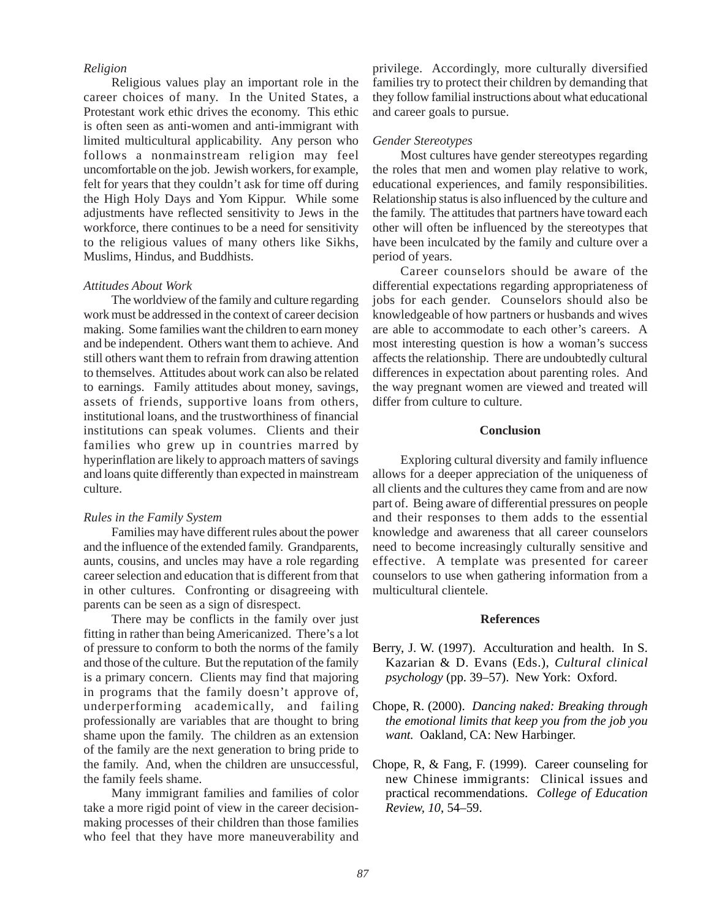#### Religion

Religious values play an important role in the career choices of many. In the United States, a Protestant work ethic drives the economy. This ethic is often seen as anti-women and anti-immigrant with limited multicultural applicability. Any person who follows a nonmainstream religion may feel uncomfortable on the job. Jewish workers, for example, felt for years that they couldn't ask for time off during the High Holy Days and Yom Kippur. While some adjustments have reflected sensitivity to Jews in the workforce, there continues to be a need for sensitivity to the religious values of many others like Sikhs, Muslims, Hindus, and Buddhists.

#### Attitudes About Work

The worldview of the family and culture regarding work must be addressed in the context of career decision making. Some families want the children to earn money and be independent. Others want them to achieve. And still others want them to refrain from drawing attention to themselves. Attitudes about work can also be related to earnings. Family attitudes about money, savings, assets of friends, supportive loans from others, institutional loans, and the trustworthiness of financial institutions can speak volumes. Clients and their families who grew up in countries marred by hyperinflation are likely to approach matters of savings and loans quite differently than expected in mainstream culture.

#### Rules in the Family System

Families may have different rules about the power and the influence of the extended family. Grandparents, aunts, cousins, and uncles may have a role regarding career selection and education that is different from that in other cultures. Confronting or disagreeing with parents can be seen as a sign of disrespect.

There may be conflicts in the family over just fitting in rather than being Americanized. There's a lot of pressure to conform to both the norms of the family and those of the culture. But the reputation of the family is a primary concern. Clients may find that majoring in programs that the family doesn't approve of, underperforming academically, and failing professionally are variables that are thought to bring shame upon the family. The children as an extension of the family are the next generation to bring pride to the family. And, when the children are unsuccessful, the family feels shame.

Many immigrant families and families of color take a more rigid point of view in the career decisionmaking processes of their children than those families who feel that they have more maneuverability and

privilege. Accordingly, more culturally diversified families try to protect their children by demanding that they follow familial instructions about what educational and career goals to pursue.

#### Gender Stereotypes

Most cultures have gender stereotypes regarding the roles that men and women play relative to work, educational experiences, and family responsibilities. Relationship status is also influenced by the culture and the family. The attitudes that partners have toward each other will often be influenced by the stereotypes that have been inculcated by the family and culture over a period of years.

Career counselors should be aware of the differential expectations regarding appropriateness of jobs for each gender. Counselors should also be knowledgeable of how partners or husbands and wives are able to accommodate to each other's careers. A most interesting question is how a woman's success affects the relationship. There are undoubtedly cultural differences in expectation about parenting roles. And the way pregnant women are viewed and treated will differ from culture to culture.

#### **Conclusion**

Exploring cultural diversity and family influence allows for a deeper appreciation of the uniqueness of all clients and the cultures they came from and are now part of. Being aware of differential pressures on people and their responses to them adds to the essential knowledge and awareness that all career counselors need to become increasingly culturally sensitive and effective. A template was presented for career counselors to use when gathering information from a multicultural clientele.

#### **References**

- Berry, J. W. (1997). Acculturation and health. In S. Kazarian & D. Evans (Eds.), Cultural clinical *psychology* (pp. 39–57). New York: Oxford.
- Chope, R. (2000). Dancing naked: Breaking through the emotional limits that keep you from the job you want. Oakland, CA: New Harbinger.
- Chope, R, & Fang, F. (1999). Career counseling for new Chinese immigrants: Clinical issues and practical recommendations. College of Education Review, 10, 54-59.